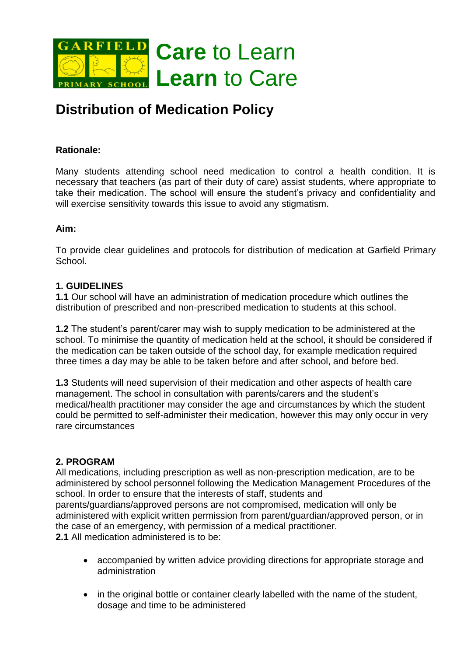

# **Distribution of Medication Policy**

## **Rationale:**

Many students attending school need medication to control a health condition. It is necessary that teachers (as part of their duty of care) assist students, where appropriate to take their medication. The school will ensure the student's privacy and confidentiality and will exercise sensitivity towards this issue to avoid any stigmatism.

## **Aim:**

To provide clear guidelines and protocols for distribution of medication at Garfield Primary **School** 

### **1. GUIDELINES**

**1.1** Our school will have an administration of medication procedure which outlines the distribution of prescribed and non-prescribed medication to students at this school.

**1.2** The student's parent/carer may wish to supply medication to be administered at the school. To minimise the quantity of medication held at the school, it should be considered if the medication can be taken outside of the school day, for example medication required three times a day may be able to be taken before and after school, and before bed.

**1.3** Students will need supervision of their medication and other aspects of health care management. The school in consultation with parents/carers and the student's medical/health practitioner may consider the age and circumstances by which the student could be permitted to self-administer their medication, however this may only occur in very rare circumstances

#### **2. PROGRAM**

All medications, including prescription as well as non-prescription medication, are to be administered by school personnel following the Medication Management Procedures of the school. In order to ensure that the interests of staff, students and parents/guardians/approved persons are not compromised, medication will only be administered with explicit written permission from parent/guardian/approved person, or in the case of an emergency, with permission of a medical practitioner. **2.1** All medication administered is to be:

- accompanied by written advice providing directions for appropriate storage and administration
- in the original bottle or container clearly labelled with the name of the student, dosage and time to be administered